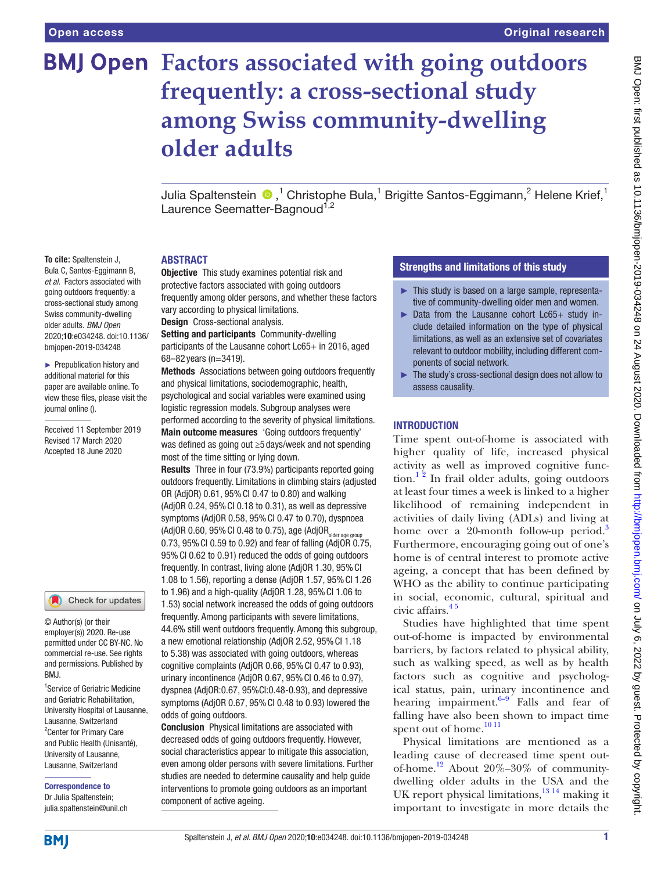**To cite:** Spaltenstein J, Bula C, Santos-Eggimann B, *et al*. Factors associated with going outdoors frequently: a cross-sectional study among Swiss community-dwelling older adults. *BMJ Open* 2020;10:e034248. doi:10.1136/ bmjopen-2019-034248 ► Prepublication history and additional material for this paper are available online. To view these files, please visit the

journal online ().

Received 11 September 2019 Revised 17 March 2020 Accepted 18 June 2020

1 Service of Geriatric Medicine and Geriatric Rehabilitation, University Hospital of Lausanne, Lausanne, Switzerland <sup>2</sup> Center for Primary Care and Public Health (Unisanté), University of Lausanne, Lausanne, Switzerland Correspondence to

Check for updates

© Author(s) (or their employer(s)) 2020. Re-use permitted under CC BY-NC. No commercial re-use. See rights and permissions. Published by

BMJ.

# **BMJ Open Factors associated with going outdoors frequently: a cross-sectional study among Swiss community-dwelling older adults**

Julia Spaltenstein  $\bigcirc$ ,<sup>1</sup> Christophe Bula,<sup>1</sup> Brigitte Santos-Eggimann,<sup>2</sup> Helene Krief,<sup>1</sup> Laurence Seematter-Bagnoud<sup>1,2</sup>

#### ABSTRACT

**Objective** This study examines potential risk and protective factors associated with going outdoors frequently among older persons, and whether these factors vary according to physical limitations.

Design Cross-sectional analysis.

Setting and participants Community-dwelling participants of the Lausanne cohort Lc65+ in 2016, aged 68–82 years (n=3419).

Methods Associations between going outdoors frequently and physical limitations, sociodemographic, health, psychological and social variables were examined using logistic regression models. Subgroup analyses were performed according to the severity of physical limitations.

Main outcome measures 'Going outdoors frequently' was defined as going out ≥5 days/week and not spending most of the time sitting or lying down.

Results Three in four (73.9%) participants reported going outdoors frequently. Limitations in climbing stairs (adjusted OR (AdjOR) 0.61, 95%CI 0.47 to 0.80) and walking (AdjOR 0.24, 95%CI 0.18 to 0.31), as well as depressive symptoms (AdjOR 0.58, 95%CI 0.47 to 0.70), dyspnoea (AdjOR 0.60, 95% CI 0.48 to 0.75), age (AdjOR $_{\text{older a}}$ 0.73, 95% CI 0.59 to 0.92) and fear of falling (AdjOR  $0.75$ , 95%CI 0.62 to 0.91) reduced the odds of going outdoors frequently. In contrast, living alone (AdjOR 1.30, 95% CI 1.08 to 1.56), reporting a dense (AdjOR 1.57, 95%CI 1.26 to 1.96) and a high-quality (AdjOR 1.28, 95%CI 1.06 to 1.53) social network increased the odds of going outdoors frequently. Among participants with severe limitations, 44.6% still went outdoors frequently. Among this subgroup, a new emotional relationship (AdjOR 2.52, 95%CI 1.18 to 5.38) was associated with going outdoors, whereas cognitive complaints (AdjOR 0.66, 95% Cl 0.47 to 0.93), urinary incontinence (AdjOR 0.67, 95% Cl 0.46 to 0.97), dyspnea (AdjOR:0.67, 95%CI:0.48-0.93), and depressive symptoms (AdjOR 0.67, 95%CI 0.48 to 0.93) lowered the odds of going outdoors.

Conclusion Physical limitations are associated with decreased odds of going outdoors frequently. However, social characteristics appear to mitigate this association, even among older persons with severe limitations. Further studies are needed to determine causality and help guide interventions to promote going outdoors as an important component of active ageing.

# Strengths and limitations of this study

- ► This study is based on a large sample, representative of community-dwelling older men and women.
- ► Data from the Lausanne cohort Lc65+ study include detailed information on the type of physical limitations, as well as an extensive set of covariates relevant to outdoor mobility, including different components of social network.
- ► The study's cross-sectional design does not allow to assess causality.

# **INTRODUCTION**

Time spent out-of-home is associated with higher quality of life, increased physical activity as well as improved cognitive function.<sup>12</sup> In frail older adults, going outdoors at least four times a week is linked to a higher likelihood of remaining independent in activities of daily living (ADLs) and living at home over a 20-month follow-up period.<sup>3</sup> Furthermore, encouraging going out of one's home is of central interest to promote active ageing, a concept that has been defined by WHO as the ability to continue participating in social, economic, cultural, spiritual and civic affairs.[4 5](#page-7-2)

Studies have highlighted that time spent out-of-home is impacted by environmental barriers, by factors related to physical ability, such as walking speed, as well as by health factors such as cognitive and psychological status, pain, urinary incontinence and hearing impairment. $6-9$  Falls and fear of falling have also been shown to impact time spent out of home.<sup>[10 11](#page-7-4)</sup>

Physical limitations are mentioned as a leading cause of decreased time spent outof-home.<sup>12</sup> About 20%–30% of communitydwelling older adults in the USA and the UK report physical limitations, $^{13}$ <sup>14</sup> making it important to investigate in more details the

Dr Julia Spaltenstein; julia.spaltenstein@unil.ch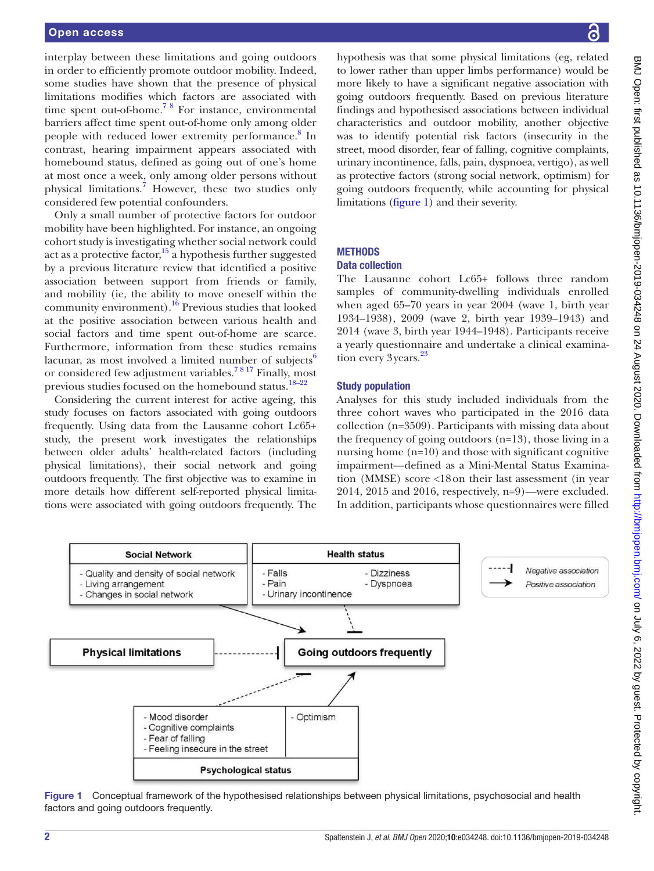interplay between these limitations and going outdoors in order to efficiently promote outdoor mobility. Indeed, some studies have shown that the presence of physical limitations modifies which factors are associated with time spent out-of-home.<sup>78</sup> For instance, environmental barriers affect time spent out-of-home only among older people with reduced lower extremity performance.<sup>8</sup> In contrast, hearing impairment appears associated with homebound status, defined as going out of one's home at most once a week, only among older persons without physical limitations.<sup>[7](#page-7-7)</sup> However, these two studies only considered few potential confounders.

Only a small number of protective factors for outdoor mobility have been highlighted. For instance, an ongoing cohort study is investigating whether social network could act as a protective factor,  $15$  a hypothesis further suggested by a previous literature review that identified a positive association between support from friends or family, and mobility (ie, the ability to move oneself within the community environment).<sup>16</sup> Previous studies that looked at the positive association between various health and social factors and time spent out-of-home are scarce. Furthermore, information from these studies remains lacunar, as most involved a limited number of subjects $\frac{6}{10}$  $\frac{6}{10}$  $\frac{6}{10}$ or considered few adjustment variables[.7 8 17](#page-7-7) Finally, most previous studies focused on the homebound status.[18–22](#page-8-0)

Considering the current interest for active ageing, this study focuses on factors associated with going outdoors frequently. Using data from the Lausanne cohort Lc65+ study, the present work investigates the relationships between older adults' health-related factors (including physical limitations), their social network and going outdoors frequently. The first objective was to examine in more details how different self-reported physical limitations were associated with going outdoors frequently. The

BMJ Open: first published as 10.1136/bmjopen-2019-034248 on 24 August 2020. Downloaded from http://bmjopen.bmj.com/ on July 6, 2022 by guest. Protected by copyright BMJ Open: first published as 10.1136/bmjopen-2019-034248 on 24 August 2020. Downloaded from <http://bmjopen.bmj.com/> on July 6, 2022 by guest. Protected by copyright

hypothesis was that some physical limitations (eg, related to lower rather than upper limbs performance) would be more likely to have a significant negative association with going outdoors frequently. Based on previous literature findings and hypothesised associations between individual characteristics and outdoor mobility, another objective was to identify potential risk factors (insecurity in the street, mood disorder, fear of falling, cognitive complaints, urinary incontinence, falls, pain, dyspnoea, vertigo), as well as protective factors (strong social network, optimism) for going outdoors frequently, while accounting for physical limitations [\(figure](#page-1-0) 1) and their severity.

# **METHODS**

# Data collection

The Lausanne cohort Lc65+ follows three random samples of community-dwelling individuals enrolled when aged 65–70 years in year 2004 (wave 1, birth year 1934–1938), 2009 (wave 2, birth year 1939–1943) and 2014 (wave 3, birth year 1944–1948). Participants receive a yearly questionnaire and undertake a clinical examina-tion every 3 years.<sup>[23](#page-8-1)</sup>

# Study population

Analyses for this study included individuals from the three cohort waves who participated in the 2016 data collection (n=3509). Participants with missing data about the frequency of going outdoors  $(n=13)$ , those living in a nursing home (n=10) and those with significant cognitive impairment—defined as a Mini-Mental Status Examination (MMSE) score <18on their last assessment (in year 2014, 2015 and 2016, respectively, n=9)—were excluded. In addition, participants whose questionnaires were filled



<span id="page-1-0"></span>Figure 1 Conceptual framework of the hypothesised relationships between physical limitations, psychosocial and health factors and going outdoors frequently.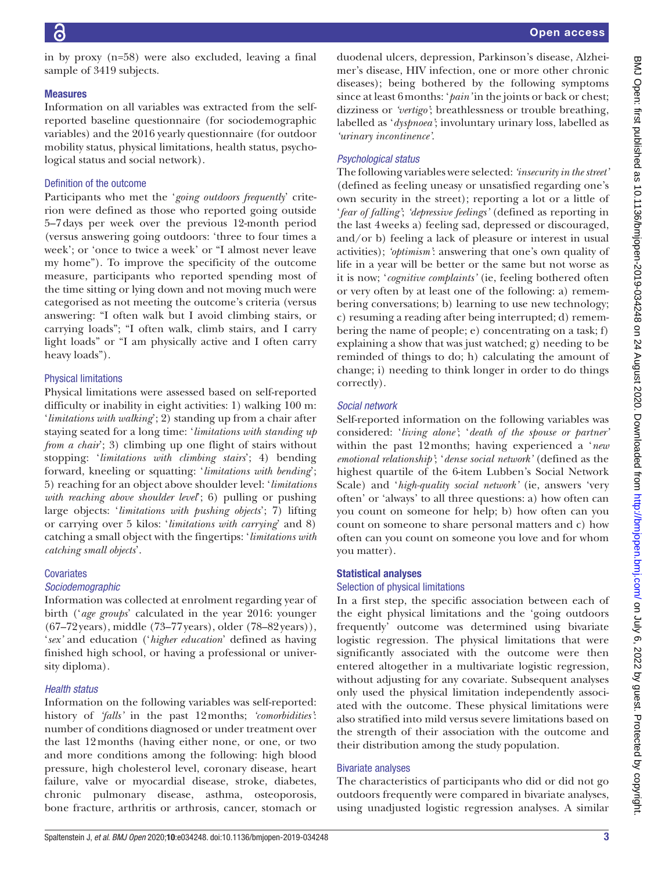sample of 3419 subjects.

Measures Information on all variables was extracted from the selfreported baseline questionnaire (for sociodemographic variables) and the 2016 yearly questionnaire (for outdoor mobility status, physical limitations, health status, psychological status and social network). Definition of the outcome Participants who met the '*going outdoors frequently*' criterion were defined as those who reported going outside 5–7days per week over the previous 12-month period (versus answering going outdoors: 'three to four times a week'; or 'once to twice a week' or "I almost never leave my home"). To improve the specificity of the outcome measure, participants who reported spending most of the time sitting or lying down and not moving much were categorised as not meeting the outcome's criteria (versus answering: "I often walk but I avoid climbing stairs, or

in by proxy (n=58) were also excluded, leaving a final

carrying loads"; "I often walk, climb stairs, and I carry light loads" or "I am physically active and I often carry heavy loads").

# Physical limitations

Physical limitations were assessed based on self-reported difficulty or inability in eight activities: 1) walking 100 m: '*limitations with walking*'; 2) standing up from a chair after staying seated for a long time: '*limitations with standing up from a chair*'; 3) climbing up one flight of stairs without stopping: '*limitations with climbing stairs*'; 4) bending forward, kneeling or squatting: '*limitations with bending*'; 5) reaching for an object above shoulder level: '*limitations with reaching above shoulder level*'; 6) pulling or pushing large objects: '*limitations with pushing objects*'; 7) lifting or carrying over 5 kilos: '*limitations with carrying*' and 8) catching a small object with the fingertips: '*limitations with catching small objects*'.

# **Covariates**

# *Sociodemographic*

Information was collected at enrolment regarding year of birth ('*age groups*' calculated in the year 2016: younger (67–72years), middle (73–77years), older (78–82years)), '*sex'* and education ('*higher education*' defined as having finished high school, or having a professional or university diploma).

# *Health status*

Information on the following variables was self-reported: history of *'falls'* in the past 12months; *'comorbidities'*: number of conditions diagnosed or under treatment over the last 12months (having either none, or one, or two and more conditions among the following: high blood pressure, high cholesterol level, coronary disease, heart failure, valve or myocardial disease, stroke, diabetes, chronic pulmonary disease, asthma, osteoporosis, bone fracture, arthritis or arthrosis, cancer, stomach or

duodenal ulcers, depression, Parkinson's disease, Alzheimer's disease, HIV infection, one or more other chronic diseases); being bothered by the following symptoms since at least 6months: '*pain'* in the joints or back or chest; dizziness or *'vertigo'*; breathlessness or trouble breathing, labelled as '*dyspnoea'*; involuntary urinary loss, labelled as *'urinary incontinence'*.

# *Psychological status*

The following variables were selected: *'insecurity in the street'* (defined as feeling uneasy or unsatisfied regarding one's own security in the street); reporting a lot or a little of '*fear of falling'*; *'depressive feelings'* (defined as reporting in the last 4weeks a) feeling sad, depressed or discouraged, and/or b) feeling a lack of pleasure or interest in usual activities); *'optimism'*: answering that one's own quality of life in a year will be better or the same but not worse as it is now; '*cognitive complaints'* (ie, feeling bothered often or very often by at least one of the following: a) remembering conversations; b) learning to use new technology; c) resuming a reading after being interrupted; d) remembering the name of people; e) concentrating on a task; f) explaining a show that was just watched; g) needing to be reminded of things to do; h) calculating the amount of change; i) needing to think longer in order to do things correctly).

# *Social network*

Self-reported information on the following variables was considered: '*living alone'*; '*death of the spouse or partner'* within the past 12months; having experienced a '*new emotional relationship'*; '*dense social network'* (defined as the highest quartile of the 6-item Lubben's Social Network Scale) and '*high-quality social network'* (ie, answers 'very often' or 'always' to all three questions: a) how often can you count on someone for help; b) how often can you count on someone to share personal matters and c) how often can you count on someone you love and for whom you matter).

# Statistical analyses

# Selection of physical limitations

In a first step, the specific association between each of the eight physical limitations and the 'going outdoors frequently' outcome was determined using bivariate logistic regression. The physical limitations that were significantly associated with the outcome were then entered altogether in a multivariate logistic regression, without adjusting for any covariate. Subsequent analyses only used the physical limitation independently associated with the outcome. These physical limitations were also stratified into mild versus severe limitations based on the strength of their association with the outcome and their distribution among the study population.

# Bivariate analyses

The characteristics of participants who did or did not go outdoors frequently were compared in bivariate analyses, using unadjusted logistic regression analyses. A similar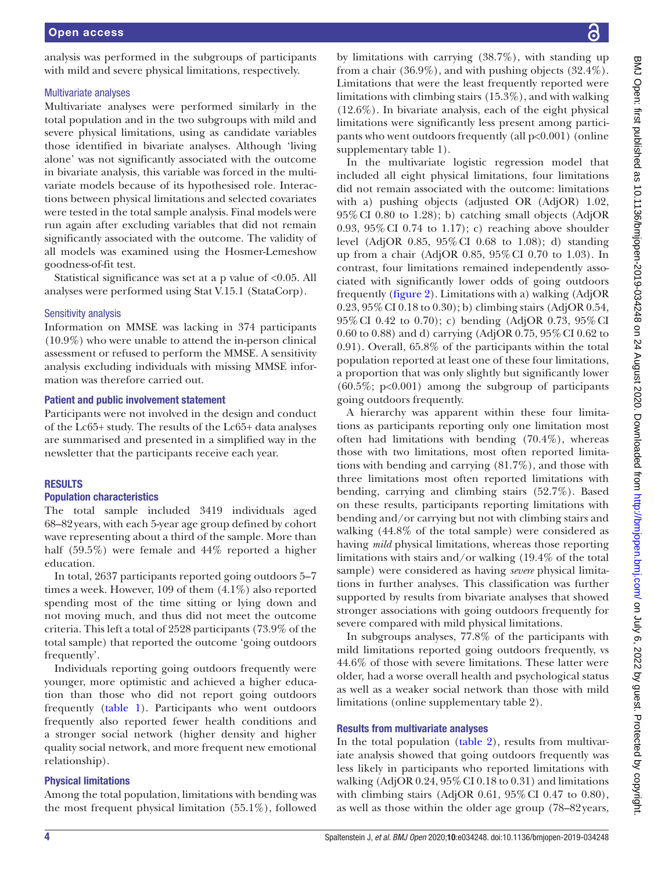analysis was performed in the subgroups of participants with mild and severe physical limitations, respectively.

#### Multivariate analyses

Multivariate analyses were performed similarly in the total population and in the two subgroups with mild and severe physical limitations, using as candidate variables those identified in bivariate analyses. Although 'living alone' was not significantly associated with the outcome in bivariate analysis, this variable was forced in the multivariate models because of its hypothesised role. Interactions between physical limitations and selected covariates were tested in the total sample analysis. Final models were run again after excluding variables that did not remain significantly associated with the outcome. The validity of all models was examined using the Hosmer-Lemeshow goodness-of-fit test.

Statistical significance was set at a p value of <0.05. All analyses were performed using Stat V.15.1 (StataCorp).

#### Sensitivity analysis

Information on MMSE was lacking in 374 participants (10.9%) who were unable to attend the in-person clinical assessment or refused to perform the MMSE. A sensitivity analysis excluding individuals with missing MMSE information was therefore carried out.

#### Patient and public involvement statement

Participants were not involved in the design and conduct of the Lc65+ study. The results of the Lc65+ data analyses are summarised and presented in a simplified way in the newsletter that the participants receive each year.

#### RESULTS

#### Population characteristics

The total sample included 3419 individuals aged 68–82years, with each 5-year age group defined by cohort wave representing about a third of the sample. More than half (59.5%) were female and 44% reported a higher education.

In total, 2637 participants reported going outdoors 5–7 times a week. However, 109 of them (4.1%) also reported spending most of the time sitting or lying down and not moving much, and thus did not meet the outcome criteria. This left a total of 2528 participants (73.9% of the total sample) that reported the outcome 'going outdoors frequently'.

Individuals reporting going outdoors frequently were younger, more optimistic and achieved a higher education than those who did not report going outdoors frequently ([table](#page-4-0) 1). Participants who went outdoors frequently also reported fewer health conditions and a stronger social network (higher density and higher quality social network, and more frequent new emotional relationship).

#### Physical limitations

Among the total population, limitations with bending was the most frequent physical limitation (55.1%), followed

by limitations with carrying (38.7%), with standing up from a chair (36.9%), and with pushing objects (32.4%). Limitations that were the least frequently reported were limitations with climbing stairs (15.3%), and with walking (12.6%). In bivariate analysis, each of the eight physical limitations were significantly less present among participants who went outdoors frequently (all  $p<0.001$ ) (online [supplementary table 1](https://dx.doi.org/10.1136/bmjopen-2019-034248)).

In the multivariate logistic regression model that included all eight physical limitations, four limitations did not remain associated with the outcome: limitations with a) pushing objects (adjusted OR (AdjOR) 1.02, 95%CI 0.80 to 1.28); b) catching small objects (AdjOR 0.93,  $95\%$  CI 0.74 to 1.17); c) reaching above shoulder level (AdjOR 0.85, 95%CI 0.68 to 1.08); d) standing up from a chair (AdjOR 0.85, 95%CI 0.70 to 1.03). In contrast, four limitations remained independently associated with significantly lower odds of going outdoors frequently [\(figure](#page-5-0) 2). Limitations with a) walking (AdjOR 0.23, 95%CI 0.18 to 0.30); b) climbing stairs (AdjOR 0.54, 95%CI 0.42 to 0.70); c) bending (AdjOR 0.73, 95%CI 0.60 to 0.88) and d) carrying (AdjOR 0.75, 95%CI 0.62 to 0.91). Overall, 65.8% of the participants within the total population reported at least one of these four limitations, a proportion that was only slightly but significantly lower  $(60.5\%; p<0.001)$  among the subgroup of participants going outdoors frequently.

A hierarchy was apparent within these four limitations as participants reporting only one limitation most often had limitations with bending (70.4%), whereas those with two limitations, most often reported limitations with bending and carrying (81.7%), and those with three limitations most often reported limitations with bending, carrying and climbing stairs (52.7%). Based on these results, participants reporting limitations with bending and/or carrying but not with climbing stairs and walking (44.8% of the total sample) were considered as having *mild* physical limitations, whereas those reporting limitations with stairs and/or walking (19.4% of the total sample) were considered as having *severe* physical limitations in further analyses. This classification was further supported by results from bivariate analyses that showed stronger associations with going outdoors frequently for severe compared with mild physical limitations.

In subgroups analyses, 77.8% of the participants with mild limitations reported going outdoors frequently, vs 44.6% of those with severe limitations. These latter were older, had a worse overall health and psychological status as well as a weaker social network than those with mild limitations [\(online supplementary table 2](https://dx.doi.org/10.1136/bmjopen-2019-034248)).

#### Results from multivariate analyses

In the total population [\(table](#page-5-1) 2), results from multivariate analysis showed that going outdoors frequently was less likely in participants who reported limitations with walking (AdjOR  $0.24$ ,  $95\%$  CI  $0.18$  to  $0.31$ ) and limitations with climbing stairs (AdjOR 0.61,  $95\%$  CI 0.47 to 0.80), as well as those within the older age group (78–82years,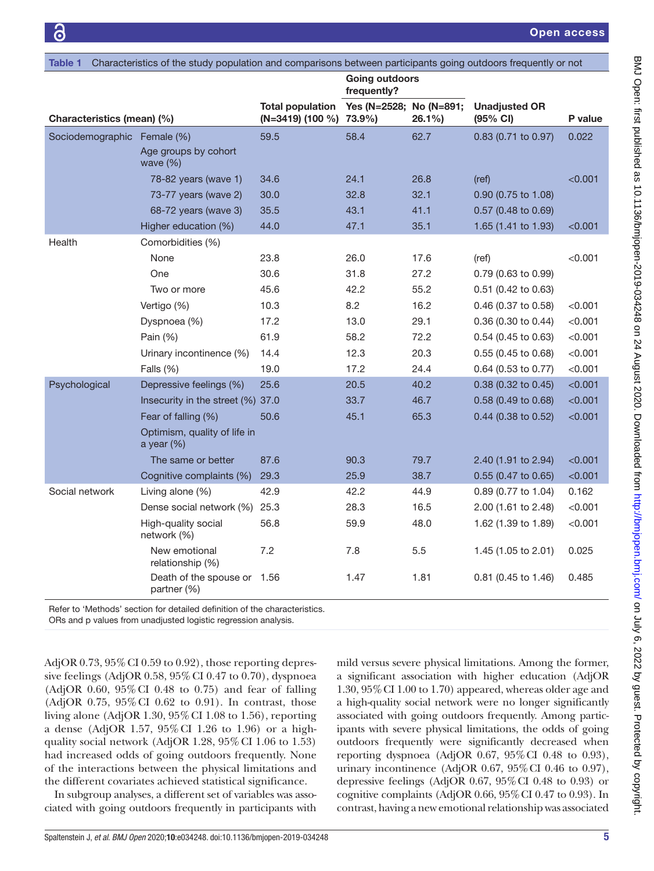<span id="page-4-0"></span>

| Characteristics of the study population and comparisons between participants going outdoors frequently or not<br>Table 1 |                                               |                                                                       |                                      |          |                                  |         |  |  |  |  |  |
|--------------------------------------------------------------------------------------------------------------------------|-----------------------------------------------|-----------------------------------------------------------------------|--------------------------------------|----------|----------------------------------|---------|--|--|--|--|--|
|                                                                                                                          |                                               |                                                                       | <b>Going outdoors</b><br>frequently? |          |                                  |         |  |  |  |  |  |
| Characteristics (mean) (%)                                                                                               |                                               | Total population Yes (N=2528; No (N=891;<br>$(N=3419)$ (100 %) 73.9%) |                                      | $26.1\%$ | <b>Unadjusted OR</b><br>(95% CI) | P value |  |  |  |  |  |
| Sociodemographic Female (%)                                                                                              |                                               | 59.5                                                                  | 58.4                                 | 62.7     | 0.83 (0.71 to 0.97)              | 0.022   |  |  |  |  |  |
|                                                                                                                          | Age groups by cohort<br>wave $(\%)$           |                                                                       |                                      |          |                                  |         |  |  |  |  |  |
|                                                                                                                          | 78-82 years (wave 1)                          | 34.6                                                                  | 24.1                                 | 26.8     | (ref)                            | < 0.001 |  |  |  |  |  |
|                                                                                                                          | 73-77 years (wave 2)                          | 30.0                                                                  | 32.8                                 | 32.1     | 0.90 (0.75 to 1.08)              |         |  |  |  |  |  |
|                                                                                                                          | 68-72 years (wave 3)                          | 35.5                                                                  | 43.1                                 | 41.1     | 0.57 (0.48 to 0.69)              |         |  |  |  |  |  |
|                                                                                                                          | Higher education (%)                          | 44.0                                                                  | 47.1                                 | 35.1     | 1.65 (1.41 to 1.93)              | < 0.001 |  |  |  |  |  |
| Health                                                                                                                   | Comorbidities (%)                             |                                                                       |                                      |          |                                  |         |  |  |  |  |  |
|                                                                                                                          | None                                          | 23.8                                                                  | 26.0                                 | 17.6     | (ref)                            | < 0.001 |  |  |  |  |  |
|                                                                                                                          | One                                           | 30.6                                                                  | 31.8                                 | 27.2     | 0.79 (0.63 to 0.99)              |         |  |  |  |  |  |
|                                                                                                                          | Two or more                                   | 45.6                                                                  | 42.2                                 | 55.2     | 0.51 (0.42 to 0.63)              |         |  |  |  |  |  |
|                                                                                                                          | Vertigo (%)                                   | 10.3                                                                  | 8.2                                  | 16.2     | 0.46 (0.37 to 0.58)              | < 0.001 |  |  |  |  |  |
|                                                                                                                          | Dyspnoea (%)                                  | 17.2                                                                  | 13.0                                 | 29.1     | 0.36 (0.30 to 0.44)              | < 0.001 |  |  |  |  |  |
|                                                                                                                          | Pain (%)                                      | 61.9                                                                  | 58.2                                 | 72.2     | 0.54 (0.45 to 0.63)              | < 0.001 |  |  |  |  |  |
|                                                                                                                          | Urinary incontinence (%)                      | 14.4                                                                  | 12.3                                 | 20.3     | 0.55 (0.45 to 0.68)              | < 0.001 |  |  |  |  |  |
|                                                                                                                          | Falls (%)                                     | 19.0                                                                  | 17.2                                 | 24.4     | 0.64 (0.53 to 0.77)              | < 0.001 |  |  |  |  |  |
| Psychological                                                                                                            | Depressive feelings (%)                       | 25.6                                                                  | 20.5                                 | 40.2     | $0.38$ (0.32 to 0.45)            | < 0.001 |  |  |  |  |  |
|                                                                                                                          | Insecurity in the street (%) 37.0             |                                                                       | 33.7                                 | 46.7     | 0.58 (0.49 to 0.68)              | < 0.001 |  |  |  |  |  |
|                                                                                                                          | Fear of falling (%)                           | 50.6                                                                  | 45.1                                 | 65.3     | 0.44 (0.38 to 0.52)              | < 0.001 |  |  |  |  |  |
|                                                                                                                          | Optimism, quality of life in<br>a year $(\%)$ |                                                                       |                                      |          |                                  |         |  |  |  |  |  |
|                                                                                                                          | The same or better                            | 87.6                                                                  | 90.3                                 | 79.7     | 2.40 (1.91 to 2.94)              | < 0.001 |  |  |  |  |  |
|                                                                                                                          | Cognitive complaints (%)                      | 29.3                                                                  | 25.9                                 | 38.7     | 0.55 (0.47 to 0.65)              | < 0.001 |  |  |  |  |  |
| Social network                                                                                                           | Living alone (%)                              | 42.9                                                                  | 42.2                                 | 44.9     | 0.89 (0.77 to 1.04)              | 0.162   |  |  |  |  |  |
|                                                                                                                          | Dense social network (%)                      | 25.3                                                                  | 28.3                                 | 16.5     | 2.00 (1.61 to 2.48)              | < 0.001 |  |  |  |  |  |
|                                                                                                                          | High-quality social<br>network (%)            | 56.8                                                                  | 59.9                                 | 48.0     | 1.62 (1.39 to 1.89)              | < 0.001 |  |  |  |  |  |
|                                                                                                                          | New emotional<br>relationship (%)             | 7.2                                                                   | 7.8                                  | 5.5      | 1.45 (1.05 to 2.01)              | 0.025   |  |  |  |  |  |
|                                                                                                                          | Death of the spouse or<br>partner (%)         | 1.56                                                                  | 1.47                                 | 1.81     | 0.81 (0.45 to 1.46)              | 0.485   |  |  |  |  |  |

Refer to 'Methods' section for detailed definition of the characteristics.

ORs and p values from unadjusted logistic regression analysis.

AdjOR  $0.73$ ,  $95\%$  CI  $0.59$  to  $0.92$ ), those reporting depressive feelings (AdjOR 0.58,  $95\%$  CI 0.47 to 0.70), dyspnoea (AdjOR 0.60, 95%CI 0.48 to 0.75) and fear of falling (AdjOR 0.75, 95%CI 0.62 to 0.91). In contrast, those living alone (AdjOR 1.30, 95%CI 1.08 to 1.56), reporting a dense (AdjOR 1.57, 95%CI 1.26 to 1.96) or a highquality social network (AdjOR 1.28, 95%CI 1.06 to 1.53) had increased odds of going outdoors frequently. None of the interactions between the physical limitations and the different covariates achieved statistical significance.

In subgroup analyses, a different set of variables was associated with going outdoors frequently in participants with

mild versus severe physical limitations. Among the former, a significant association with higher education (AdjOR 1.30, 95%CI 1.00 to 1.70) appeared, whereas older age and a high-quality social network were no longer significantly associated with going outdoors frequently. Among participants with severe physical limitations, the odds of going outdoors frequently were significantly decreased when reporting dyspnoea (AdjOR  $0.67$ ,  $95\%$ CI  $0.48$  to  $0.93$ ), urinary incontinence (AdjOR 0.67,  $95\%$ CI 0.46 to 0.97), depressive feelings (AdjOR 0.67, 95%CI 0.48 to 0.93) or cognitive complaints (AdjOR 0.66, 95%CI 0.47 to 0.93). In contrast, having a new emotional relationship was associated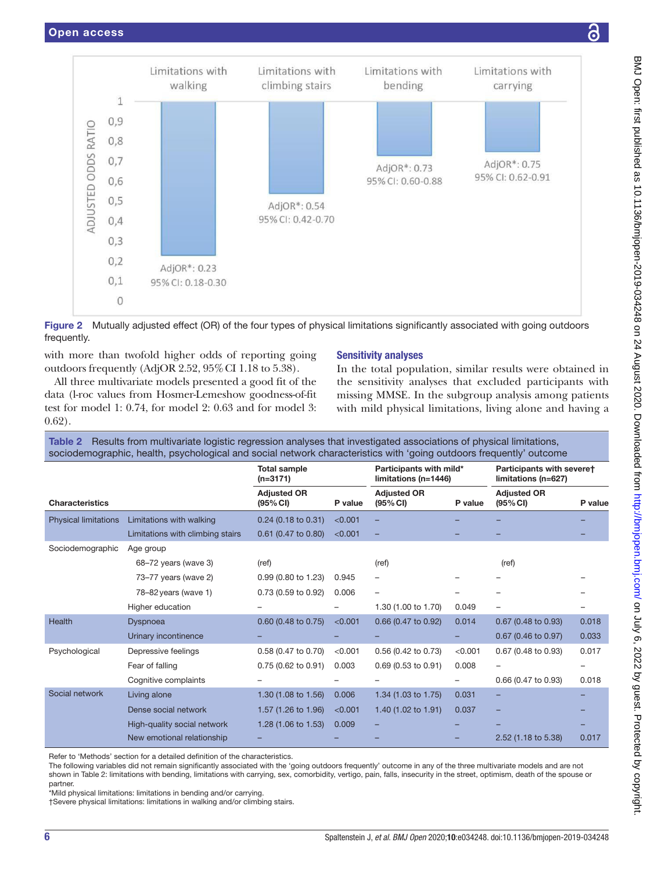

<span id="page-5-0"></span>Figure 2 Mutually adjusted effect (OR) of the four types of physical limitations significantly associated with going outdoors frequently.

with more than twofold higher odds of reporting going outdoors frequently (AdjOR 2.52, 95%CI 1.18 to 5.38).

All three multivariate models presented a good fit of the data (l-roc values from Hosmer-Lemeshow goodness-of-fit test for model 1: 0.74, for model 2: 0.63 and for model 3: 0.62).

#### Sensitivity analyses

In the total population, similar results were obtained in the sensitivity analyses that excluded participants with missing MMSE. In the subgroup analysis among patients with mild physical limitations, living alone and having a

<span id="page-5-1"></span>Table 2 Results from multivariate logistic regression analyses that investigated associations of physical limitations, sociodemographic, health, psychological and social network characteristics with 'going outdoors frequently' outcome

|                             |                                  | <b>Total sample</b><br>(n=3171) |         | Participants with mild*<br>limitations (n=1446) |         | Participants with severet<br>limitations (n=627) |         |
|-----------------------------|----------------------------------|---------------------------------|---------|-------------------------------------------------|---------|--------------------------------------------------|---------|
| <b>Characteristics</b>      |                                  | <b>Adjusted OR</b><br>(95% CI)  | P value | <b>Adjusted OR</b><br>(95% CI)                  | P value | <b>Adjusted OR</b><br>(95% CI)                   | P value |
| <b>Physical limitations</b> | Limitations with walking         | $0.24$ (0.18 to 0.31)           | < 0.001 |                                                 |         |                                                  |         |
|                             | Limitations with climbing stairs | $0.61$ (0.47 to 0.80)           | < 0.001 |                                                 |         |                                                  |         |
| Sociodemographic            | Age group                        |                                 |         |                                                 |         |                                                  |         |
|                             | 68-72 years (wave 3)             | (ref)                           |         | (ref)                                           |         | (ref)                                            |         |
|                             | 73-77 years (wave 2)             | $0.99(0.80 \text{ to } 1.23)$   | 0.945   |                                                 |         |                                                  |         |
|                             | 78-82 years (wave 1)             | 0.73 (0.59 to 0.92)             | 0.006   | $\qquad \qquad -$                               |         |                                                  |         |
|                             | Higher education                 |                                 |         | 1.30 (1.00 to 1.70)                             | 0.049   |                                                  |         |
| Health                      | Dyspnoea                         | 0.60 (0.48 to 0.75)             | < 0.001 | 0.66 (0.47 to 0.92)                             | 0.014   | 0.67 (0.48 to 0.93)                              | 0.018   |
|                             | Urinary incontinence             |                                 |         |                                                 |         | 0.67 (0.46 to 0.97)                              | 0.033   |
| Psychological               | Depressive feelings              | 0.58 (0.47 to 0.70)             | < 0.001 | 0.56 (0.42 to 0.73)                             | < 0.001 | 0.67 (0.48 to 0.93)                              | 0.017   |
|                             | Fear of falling                  | $0.75(0.62 \text{ to } 0.91)$   | 0.003   | 0.69 (0.53 to 0.91)                             | 0.008   |                                                  |         |
|                             | Cognitive complaints             |                                 |         |                                                 |         | 0.66 (0.47 to 0.93)                              | 0.018   |
| Social network              | Living alone                     | 1.30 (1.08 to 1.56)             | 0.006   | 1.34 (1.03 to 1.75)                             | 0.031   |                                                  |         |
|                             | Dense social network             | 1.57 (1.26 to 1.96)             | < 0.001 | 1.40 (1.02 to 1.91)                             | 0.037   |                                                  |         |
|                             | High-quality social network      | 1.28 (1.06 to 1.53)             | 0.009   |                                                 |         |                                                  |         |
|                             | New emotional relationship       |                                 |         |                                                 |         | 2.52 (1.18 to 5.38)                              | 0.017   |

Refer to 'Methods' section for a detailed definition of the characteristics.

The following variables did not remain significantly associated with the 'going outdoors frequently' outcome in any of the three multivariate models and are not shown in Table 2: limitations with bending, limitations with carrying, sex, comorbidity, vertigo, pain, falls, insecurity in the street, optimism, death of the spouse or partner.

\*Mild physical limitations: limitations in bending and/or carrying.

†Severe physical limitations: limitations in walking and/or climbing stairs.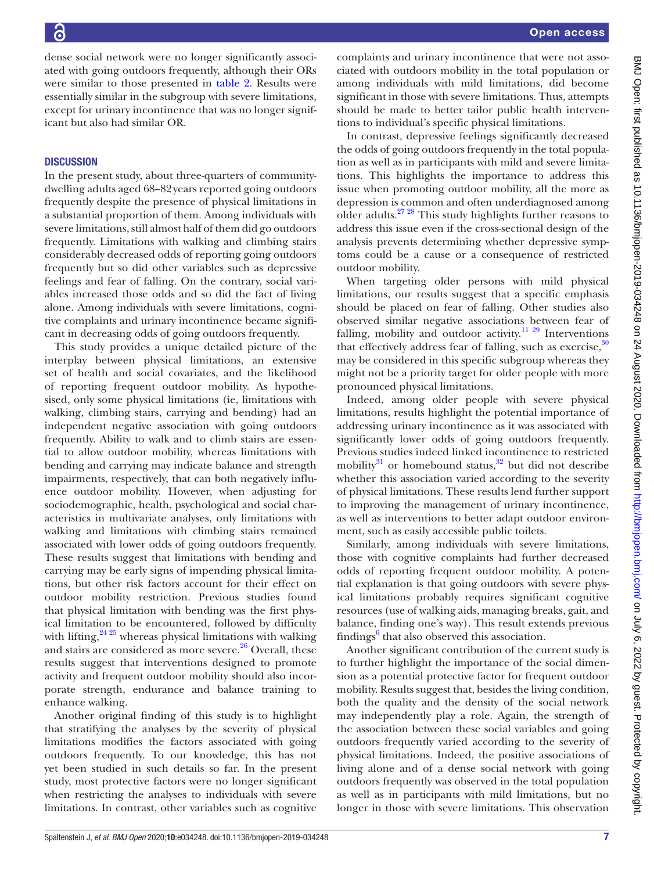dense social network were no longer significantly associated with going outdoors frequently, although their ORs were similar to those presented in [table](#page-5-1) 2. Results were essentially similar in the subgroup with severe limitations, except for urinary incontinence that was no longer significant but also had similar OR.

### **DISCUSSION**

In the present study, about three-quarters of communitydwelling adults aged 68–82years reported going outdoors frequently despite the presence of physical limitations in a substantial proportion of them. Among individuals with severe limitations, still almost half of them did go outdoors frequently. Limitations with walking and climbing stairs considerably decreased odds of reporting going outdoors frequently but so did other variables such as depressive feelings and fear of falling. On the contrary, social variables increased those odds and so did the fact of living alone. Among individuals with severe limitations, cognitive complaints and urinary incontinence became significant in decreasing odds of going outdoors frequently.

This study provides a unique detailed picture of the interplay between physical limitations, an extensive set of health and social covariates, and the likelihood of reporting frequent outdoor mobility. As hypothesised, only some physical limitations (ie, limitations with walking, climbing stairs, carrying and bending) had an independent negative association with going outdoors frequently. Ability to walk and to climb stairs are essential to allow outdoor mobility, whereas limitations with bending and carrying may indicate balance and strength impairments, respectively, that can both negatively influence outdoor mobility. However, when adjusting for sociodemographic, health, psychological and social characteristics in multivariate analyses, only limitations with walking and limitations with climbing stairs remained associated with lower odds of going outdoors frequently. These results suggest that limitations with bending and carrying may be early signs of impending physical limitations, but other risk factors account for their effect on outdoor mobility restriction. Previous studies found that physical limitation with bending was the first physical limitation to be encountered, followed by difficulty with lifting,  $24\frac{25}{5}$  whereas physical limitations with walking and stairs are considered as more severe.<sup>26</sup> Overall, these results suggest that interventions designed to promote activity and frequent outdoor mobility should also incorporate strength, endurance and balance training to enhance walking.

Another original finding of this study is to highlight that stratifying the analyses by the severity of physical limitations modifies the factors associated with going outdoors frequently. To our knowledge, this has not yet been studied in such details so far. In the present study, most protective factors were no longer significant when restricting the analyses to individuals with severe limitations. In contrast, other variables such as cognitive

complaints and urinary incontinence that were not associated with outdoors mobility in the total population or among individuals with mild limitations, did become significant in those with severe limitations. Thus, attempts should be made to better tailor public health interventions to individual's specific physical limitations.

In contrast, depressive feelings significantly decreased the odds of going outdoors frequently in the total population as well as in participants with mild and severe limitations. This highlights the importance to address this issue when promoting outdoor mobility, all the more as depression is common and often underdiagnosed among older adults.[27 28](#page-8-4) This study highlights further reasons to address this issue even if the cross-sectional design of the analysis prevents determining whether depressive symptoms could be a cause or a consequence of restricted outdoor mobility.

When targeting older persons with mild physical limitations, our results suggest that a specific emphasis should be placed on fear of falling. Other studies also observed similar negative associations between fear of falling, mobility and outdoor activity.<sup>11 29</sup> Interventions that effectively address fear of falling, such as exercise,  $30$ may be considered in this specific subgroup whereas they might not be a priority target for older people with more pronounced physical limitations.

Indeed, among older people with severe physical limitations, results highlight the potential importance of addressing urinary incontinence as it was associated with significantly lower odds of going outdoors frequently. Previous studies indeed linked incontinence to restricted mobility $31$  or homebound status,  $32$  but did not describe whether this association varied according to the severity of physical limitations. These results lend further support to improving the management of urinary incontinence, as well as interventions to better adapt outdoor environment, such as easily accessible public toilets.

Similarly, among individuals with severe limitations, those with cognitive complaints had further decreased odds of reporting frequent outdoor mobility. A potential explanation is that going outdoors with severe physical limitations probably requires significant cognitive resources (use of walking aids, managing breaks, gait, and balance, finding one's way). This result extends previous findings<sup>[6](#page-7-3)</sup> that also observed this association.

Another significant contribution of the current study is to further highlight the importance of the social dimension as a potential protective factor for frequent outdoor mobility. Results suggest that, besides the living condition, both the quality and the density of the social network may independently play a role. Again, the strength of the association between these social variables and going outdoors frequently varied according to the severity of physical limitations. Indeed, the positive associations of living alone and of a dense social network with going outdoors frequently was observed in the total population as well as in participants with mild limitations, but no longer in those with severe limitations. This observation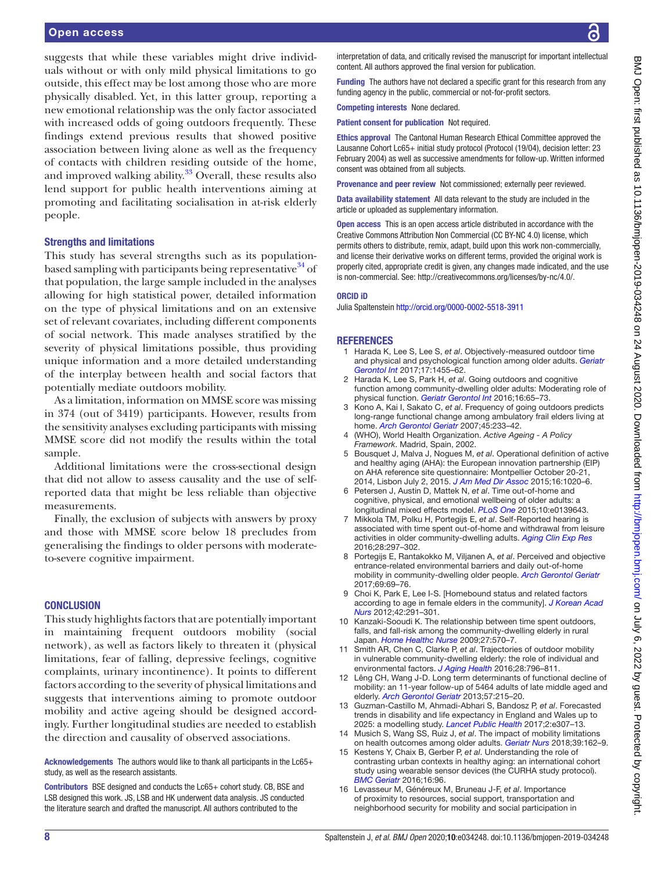#### Open access

suggests that while these variables might drive individuals without or with only mild physical limitations to go outside, this effect may be lost among those who are more physically disabled. Yet, in this latter group, reporting a new emotional relationship was the only factor associated with increased odds of going outdoors frequently. These findings extend previous results that showed positive association between living alone as well as the frequency of contacts with children residing outside of the home, and improved walking ability. $33$  Overall, these results also lend support for public health interventions aiming at promoting and facilitating socialisation in at-risk elderly people.

#### Strengths and limitations

This study has several strengths such as its populationbased sampling with participants being representative<sup>34</sup> of that population, the large sample included in the analyses allowing for high statistical power, detailed information on the type of physical limitations and on an extensive set of relevant covariates, including different components of social network. This made analyses stratified by the severity of physical limitations possible, thus providing unique information and a more detailed understanding of the interplay between health and social factors that potentially mediate outdoors mobility.

As a limitation, information on MMSE score was missing in 374 (out of 3419) participants. However, results from the sensitivity analyses excluding participants with missing MMSE score did not modify the results within the total sample.

Additional limitations were the cross-sectional design that did not allow to assess causality and the use of selfreported data that might be less reliable than objective measurements.

Finally, the exclusion of subjects with answers by proxy and those with MMSE score below 18 precludes from generalising the findings to older persons with moderateto-severe cognitive impairment.

#### **CONCLUSION**

This study highlights factors that are potentially important in maintaining frequent outdoors mobility (social network), as well as factors likely to threaten it (physical limitations, fear of falling, depressive feelings, cognitive complaints, urinary incontinence). It points to different factors according to the severity of physical limitations and suggests that interventions aiming to promote outdoor mobility and active ageing should be designed accordingly. Further longitudinal studies are needed to establish the direction and causality of observed associations.

Acknowledgements The authors would like to thank all participants in the Lc65+ study, as well as the research assistants.

Contributors BSE designed and conducts the Lc65+ cohort study. CB, BSE and LSB designed this work. JS, LSB and HK underwent data analysis. JS conducted the literature search and drafted the manuscript. All authors contributed to the

interpretation of data, and critically revised the manuscript for important intellectual content. All authors approved the final version for publication.

Funding The authors have not declared a specific grant for this research from any funding agency in the public, commercial or not-for-profit sectors.

Competing interests None declared.

Patient consent for publication Not required.

Ethics approval The Cantonal Human Research Ethical Committee approved the Lausanne Cohort Lc65+ initial study protocol (Protocol (19/04), decision letter: 23 February 2004) as well as successive amendments for follow-up. Written informed consent was obtained from all subjects.

Provenance and peer review Not commissioned; externally peer reviewed.

Data availability statement All data relevant to the study are included in the article or uploaded as supplementary information.

Open access This is an open access article distributed in accordance with the Creative Commons Attribution Non Commercial (CC BY-NC 4.0) license, which permits others to distribute, remix, adapt, build upon this work non-commercially, and license their derivative works on different terms, provided the original work is properly cited, appropriate credit is given, any changes made indicated, and the use is non-commercial. See: [http://creativecommons.org/licenses/by-nc/4.0/.](http://creativecommons.org/licenses/by-nc/4.0/)

#### ORCID iD

Julia Spaltenstein<http://orcid.org/0000-0002-5518-3911>

#### **REFERENCES**

- <span id="page-7-0"></span>1 Harada K, Lee S, Lee S, *et al*. Objectively-measured outdoor time and physical and psychological function among older adults. *[Geriatr](http://dx.doi.org/10.1111/ggi.12895)  [Gerontol Int](http://dx.doi.org/10.1111/ggi.12895)* 2017;17:1455–62.
- 2 Harada K, Lee S, Park H, *et al*. Going outdoors and cognitive function among community-dwelling older adults: Moderating role of physical function. *[Geriatr Gerontol Int](http://dx.doi.org/10.1111/ggi.12437)* 2016;16:65–73.
- <span id="page-7-1"></span>3 Kono A, Kai I, Sakato C, *et al*. Frequency of going outdoors predicts long-range functional change among ambulatory frail elders living at home. *[Arch Gerontol Geriatr](http://dx.doi.org/10.1016/j.archger.2006.10.013)* 2007;45:233–42.
- <span id="page-7-2"></span>4 (WHO), World Health Organization. *Active Ageing - A Policy Framework*. Madrid, Spain, 2002.
- 5 Bousquet J, Malva J, Nogues M, *et al*. Operational definition of active and healthy aging (AHA): the European innovation partnership (EIP) on AHA reference site questionnaire: Montpellier October 20-21, 2014, Lisbon July 2, 2015. *[J Am Med Dir Assoc](http://dx.doi.org/10.1016/j.jamda.2015.09.004)* 2015;16:1020–6.
- <span id="page-7-3"></span>6 Petersen J, Austin D, Mattek N, *et al*. Time out-of-home and cognitive, physical, and emotional wellbeing of older adults: a longitudinal mixed effects model. *[PLoS One](http://dx.doi.org/10.1371/journal.pone.0139643)* 2015;10:e0139643.
- <span id="page-7-7"></span>7 Mikkola TM, Polku H, Portegijs E, *et al*. Self-Reported hearing is associated with time spent out-of-home and withdrawal from leisure activities in older community-dwelling adults. *[Aging Clin Exp Res](http://dx.doi.org/10.1007/s40520-015-0389-1)* 2016;28:297–302.
- <span id="page-7-8"></span>8 Portegijs E, Rantakokko M, Viljanen A, *et al*. Perceived and objective entrance-related environmental barriers and daily out-of-home mobility in community-dwelling older people. *[Arch Gerontol Geriatr](http://dx.doi.org/10.1016/j.archger.2016.11.011)* 2017;69:69–76.
- 9 Choi K, Park E, Lee I-S. [Homebound status and related factors according to age in female elders in the community]. *[J Korean Acad](http://dx.doi.org/10.4040/jkan.2012.42.2.291)  [Nurs](http://dx.doi.org/10.4040/jkan.2012.42.2.291)* 2012;42:291–301.
- <span id="page-7-4"></span>10 Kanzaki-Sooudi K. The relationship between time spent outdoors, falls, and fall-risk among the community-dwelling elderly in rural Japan. *[Home Healthc Nurse](http://dx.doi.org/10.1097/01.NHH.0000361930.29797.9b)* 2009;27:570–7.
- <span id="page-7-11"></span>11 Smith AR, Chen C, Clarke P, *et al*. Trajectories of outdoor mobility in vulnerable community-dwelling elderly: the role of individual and environmental factors. *[J Aging Health](http://dx.doi.org/10.1177/0898264315611665)* 2016;28:796–811.
- <span id="page-7-5"></span>12 Lêng CH, Wang J-D. Long term determinants of functional decline of mobility: an 11-year follow-up of 5464 adults of late middle aged and elderly. *[Arch Gerontol Geriatr](http://dx.doi.org/10.1016/j.archger.2013.03.013)* 2013;57:215–20.
- <span id="page-7-6"></span>13 Guzman-Castillo M, Ahmadi-Abhari S, Bandosz P, *et al*. Forecasted trends in disability and life expectancy in England and Wales up to 2025: a modelling study. *[Lancet Public Health](http://dx.doi.org/10.1016/S2468-2667(17)30091-9)* 2017;2:e307–13.
- 14 Musich S, Wang SS, Ruiz J, *et al*. The impact of mobility limitations on health outcomes among older adults. *[Geriatr Nurs](http://dx.doi.org/10.1016/j.gerinurse.2017.08.002)* 2018;39:162–9.
- <span id="page-7-9"></span>15 Kestens Y, Chaix B, Gerber P, *et al*. Understanding the role of contrasting urban contexts in healthy aging: an international cohort study using wearable sensor devices (the CURHA study protocol). *[BMC Geriatr](http://dx.doi.org/10.1186/s12877-016-0273-7)* 2016;16:96.
- <span id="page-7-10"></span>16 Levasseur M, Généreux M, Bruneau J-F, *et al*. Importance of proximity to resources, social support, transportation and neighborhood security for mobility and social participation in